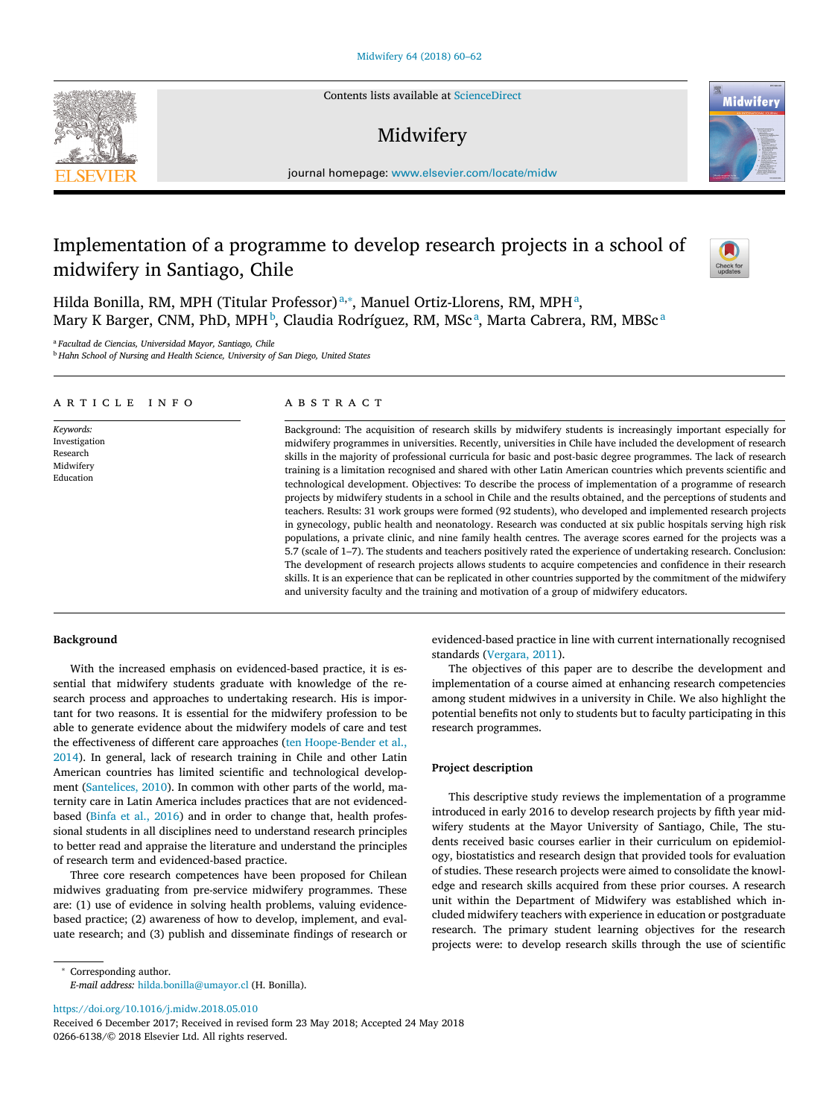Contents lists available at [ScienceDirect](http://www.ScienceDirect.com)

# Midwifery

journal homepage: [www.elsevier.com/locate/midw](http://www.elsevier.com/locate/midw)

## Implementation of a programme to develop research projects in a school of midwifery in Santiago, Chile



Midwiferv

Hilda Bonilla, RM, MPH (Titular Professor)<sup>a,\*</sup>, Manuel Ortiz-Llorens, RM, MPH<sup>a</sup>, Mary K Barger, CNM, PhD, MPH<sup>b</sup>, Claudia Rodríguez, RM, MScª, Marta Cabrera, RM, MBScª

<sup>a</sup> *Facultad de Ciencias, Universidad Mayor, Santiago, Chile*

<sup>b</sup> *Hahn School of Nursing and Health Science, University of San Diego, United States*

## a r t i c l e i n f o

*Keywords:* Investigation Research Midwifery Education

## a b s t r a c t

Background: The acquisition of research skills by midwifery students is increasingly important especially for midwifery programmes in universities. Recently, universities in Chile have included the development of research skills in the majority of professional curricula for basic and post-basic degree programmes. The lack of research training is a limitation recognised and shared with other Latin American countries which prevents scientific and technological development. Objectives: To describe the process of implementation of a programme of research projects by midwifery students in a school in Chile and the results obtained, and the perceptions of students and teachers. Results: 31 work groups were formed (92 students), who developed and implemented research projects in gynecology, public health and neonatology. Research was conducted at six public hospitals serving high risk populations, a private clinic, and nine family health centres. The average scores earned for the projects was a 5.7 (scale of 1–7). The students and teachers positively rated the experience of undertaking research. Conclusion: The development of research projects allows students to acquire competencies and confidence in their research skills. It is an experience that can be replicated in other countries supported by the commitment of the midwifery and university faculty and the training and motivation of a group of midwifery educators.

## **Background**

With the increased emphasis on evidenced-based practice, it is essential that midwifery students graduate with knowledge of the research process and approaches to undertaking research. His is important for two reasons. It is essential for the midwifery profession to be able to generate evidence about the midwifery models of care and test the effectiveness of different care approaches (ten [Hoope-Bender](#page-2-0) et al., 2014). In general, lack of research training in Chile and other Latin American countries has limited scientific and technological development [\(Santelices,](#page-2-0) 2010). In common with other parts of the world, maternity care in Latin America includes practices that are not evidencedbased [\(Binfa](#page-2-0) et al., 2016) and in order to change that, health professional students in all disciplines need to understand research principles to better read and appraise the literature and understand the principles of research term and evidenced-based practice.

Three core research competences have been proposed for Chilean midwives graduating from pre-service midwifery programmes. These are: (1) use of evidence in solving health problems, valuing evidencebased practice; (2) awareness of how to develop, implement, and evaluate research; and (3) publish and disseminate findings of research or evidenced-based practice in line with current internationally recognised standards [\(Vergara,](#page-2-0) 2011).

The objectives of this paper are to describe the development and implementation of a course aimed at enhancing research competencies among student midwives in a university in Chile. We also highlight the potential benefits not only to students but to faculty participating in this research programmes.

#### **Project description**

This descriptive study reviews the implementation of a programme introduced in early 2016 to develop research projects by fifth year midwifery students at the Mayor University of Santiago, Chile, The students received basic courses earlier in their curriculum on epidemiology, biostatistics and research design that provided tools for evaluation of studies. These research projects were aimed to consolidate the knowledge and research skills acquired from these prior courses. A research unit within the Department of Midwifery was established which included midwifery teachers with experience in education or postgraduate research. The primary student learning objectives for the research projects were: to develop research skills through the use of scientific

*E-mail address:* [hilda.bonilla@umayor.cl](mailto:hilda.bonilla@umayor.cl) (H. Bonilla).

<https://doi.org/10.1016/j.midw.2018.05.010>



<sup>∗</sup> Corresponding author.

Received 6 December 2017; Received in revised form 23 May 2018; Accepted 24 May 2018 0266-6138/© 2018 Elsevier Ltd. All rights reserved.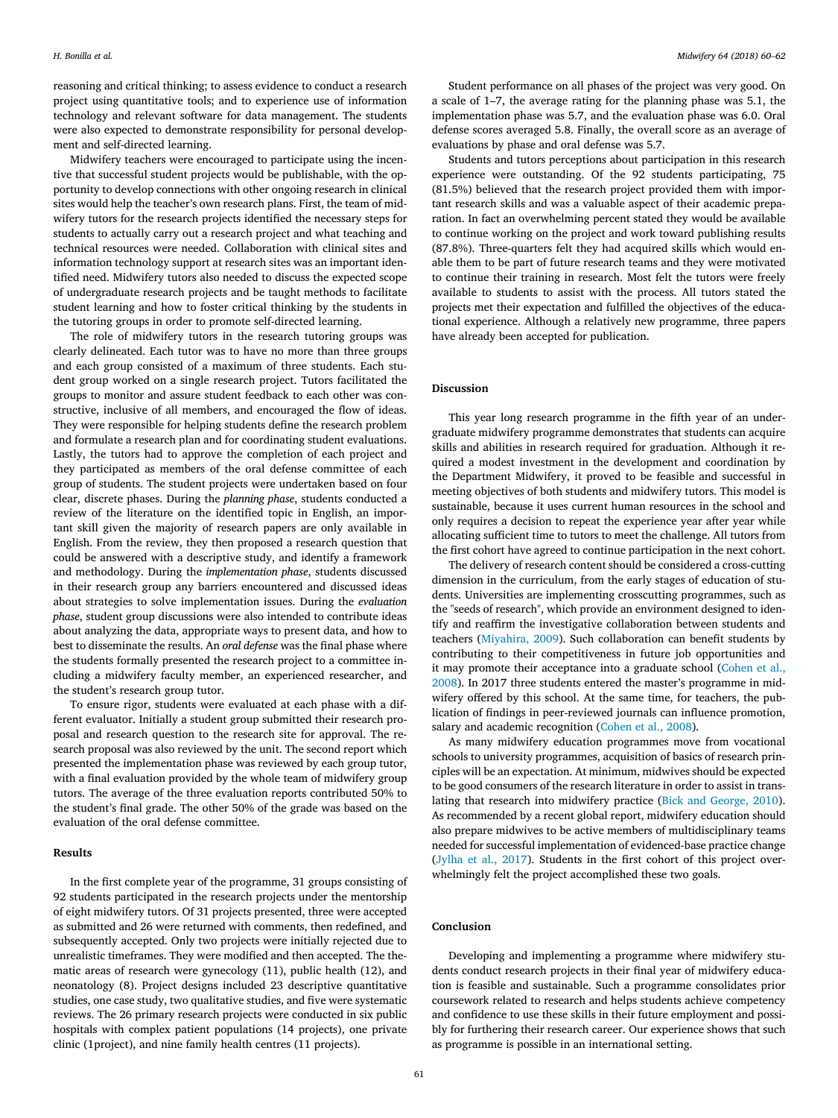reasoning and critical thinking; to assess evidence to conduct a research project using quantitative tools; and to experience use of information technology and relevant software for data management. The students were also expected to demonstrate responsibility for personal development and self-directed learning.

Midwifery teachers were encouraged to participate using the incentive that successful student projects would be publishable, with the opportunity to develop connections with other ongoing research in clinical sites would help the teacher's own research plans. First, the team of midwifery tutors for the research projects identified the necessary steps for students to actually carry out a research project and what teaching and technical resources were needed. Collaboration with clinical sites and information technology support at research sites was an important identified need. Midwifery tutors also needed to discuss the expected scope of undergraduate research projects and be taught methods to facilitate student learning and how to foster critical thinking by the students in the tutoring groups in order to promote self-directed learning.

The role of midwifery tutors in the research tutoring groups was clearly delineated. Each tutor was to have no more than three groups and each group consisted of a maximum of three students. Each student group worked on a single research project. Tutors facilitated the groups to monitor and assure student feedback to each other was constructive, inclusive of all members, and encouraged the flow of ideas. They were responsible for helping students define the research problem and formulate a research plan and for coordinating student evaluations. Lastly, the tutors had to approve the completion of each project and they participated as members of the oral defense committee of each group of students. The student projects were undertaken based on four clear, discrete phases. During the *planning phase*, students conducted a review of the literature on the identified topic in English, an important skill given the majority of research papers are only available in English. From the review, they then proposed a research question that could be answered with a descriptive study, and identify a framework and methodology. During the *implementation phase*, students discussed in their research group any barriers encountered and discussed ideas about strategies to solve implementation issues. During the *evaluation phase*, student group discussions were also intended to contribute ideas about analyzing the data, appropriate ways to present data, and how to best to disseminate the results. An *oral defense* was the final phase where the students formally presented the research project to a committee including a midwifery faculty member, an experienced researcher, and the student's research group tutor.

To ensure rigor, students were evaluated at each phase with a different evaluator. Initially a student group submitted their research proposal and research question to the research site for approval. The research proposal was also reviewed by the unit. The second report which presented the implementation phase was reviewed by each group tutor, with a final evaluation provided by the whole team of midwifery group tutors. The average of the three evaluation reports contributed 50% to the student's final grade. The other 50% of the grade was based on the evaluation of the oral defense committee.

#### **Results**

In the first complete year of the programme, 31 groups consisting of 92 students participated in the research projects under the mentorship of eight midwifery tutors. Of 31 projects presented, three were accepted as submitted and 26 were returned with comments, then redefined, and subsequently accepted. Only two projects were initially rejected due to unrealistic timeframes. They were modified and then accepted. The thematic areas of research were gynecology (11), public health (12), and neonatology (8). Project designs included 23 descriptive quantitative studies, one case study, two qualitative studies, and five were systematic reviews. The 26 primary research projects were conducted in six public hospitals with complex patient populations (14 projects), one private clinic (1project), and nine family health centres (11 projects).

Student performance on all phases of the project was very good. On a scale of 1–7, the average rating for the planning phase was 5.1, the implementation phase was 5.7, and the evaluation phase was 6.0. Oral defense scores averaged 5.8. Finally, the overall score as an average of evaluations by phase and oral defense was 5.7.

Students and tutors perceptions about participation in this research experience were outstanding. Of the 92 students participating, 75 (81.5%) believed that the research project provided them with important research skills and was a valuable aspect of their academic preparation. In fact an overwhelming percent stated they would be available to continue working on the project and work toward publishing results (87.8%). Three-quarters felt they had acquired skills which would enable them to be part of future research teams and they were motivated to continue their training in research. Most felt the tutors were freely available to students to assist with the process. All tutors stated the projects met their expectation and fulfilled the objectives of the educational experience. Although a relatively new programme, three papers have already been accepted for publication.

## **Discussion**

This year long research programme in the fifth year of an undergraduate midwifery programme demonstrates that students can acquire skills and abilities in research required for graduation. Although it required a modest investment in the development and coordination by the Department Midwifery, it proved to be feasible and successful in meeting objectives of both students and midwifery tutors. This model is sustainable, because it uses current human resources in the school and only requires a decision to repeat the experience year after year while allocating sufficient time to tutors to meet the challenge. All tutors from the first cohort have agreed to continue participation in the next cohort.

The delivery of research content should be considered a cross-cutting dimension in the curriculum, from the early stages of education of students. Universities are implementing crosscutting programmes, such as the "seeds of research", which provide an environment designed to identify and reaffirm the investigative collaboration between students and teachers [\(Miyahira,](#page-2-0) 2009). Such collaboration can benefit students by contributing to their competitiveness in future job opportunities and it may promote their acceptance into a graduate school (Cohen et al., 2008). In 2017 three students entered the master's [programme](#page-2-0) in midwifery offered by this school. At the same time, for teachers, the publication of findings in peer-reviewed journals can influence promotion, salary and academic recognition [\(Cohen](#page-2-0) et al., 2008).

As many midwifery education programmes move from vocational schools to university programmes, acquisition of basics of research principles will be an expectation. At minimum, midwives should be expected to be good consumers of the research literature in order to assist in translating that research into midwifery practice (Bick and [George,](#page-2-0) 2010). As recommended by a recent global report, midwifery education should also prepare midwives to be active members of multidisciplinary teams needed for successful implementation of evidenced-base practice change [\(Jylha](#page-2-0) et al., 2017). Students in the first cohort of this project overwhelmingly felt the project accomplished these two goals.

#### **Conclusion**

Developing and implementing a programme where midwifery students conduct research projects in their final year of midwifery education is feasible and sustainable. Such a programme consolidates prior coursework related to research and helps students achieve competency and confidence to use these skills in their future employment and possibly for furthering their research career. Our experience shows that such as programme is possible in an international setting.